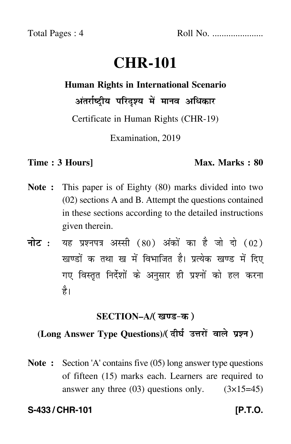# **CHR-101**

# **Human Rights in International Scenario** अंतर्राष्ट्रीय परिदृश्य में मानव अधिकार

Certificate in Human Rights (CHR-19)

Examination, 2019

#### **Time : 3 Hours]** Max. Marks : 80

- **Note :** This paper is of Eighty (80) marks divided into two (02) sections A and B. Attempt the questions contained in these sections according to the detailed instructions given therein.
- नोट : यह प्रश्नपत्र अस्सी (80) अंकों का है जो दो (02) खण्डों क तथा ख में विभाजित है। प्रत्येक खण्ड में दिए गए विस्तृत निर्देशों के अनुसार ही प्रश्नों को हल करन<mark>ा</mark> है।

### **SECTION–A/**

# (Long Answer Type Questions)/( दीर्घ उत्तरों वाले प्रश्न )

**Note :** Section 'A' contains five (05) long answer type questions of fifteen (15) marks each. Learners are required to answer any three  $(03)$  questions only.  $(3\times15=45)$ 

## **S-433 / CHR-101 [P.T.O.**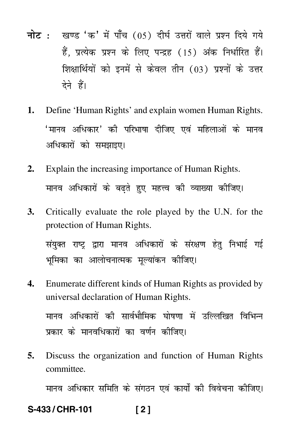- नोट : खण्ड 'क' में पाँच (05) दीर्घ उत्तरों वाले प्रश्न दिये गये हैं. प्रत्येक प्रश्न के लिए पन्द्रह (15) अंक निर्धारित हैं। शिक्षार्थियों को इनमें से केवल तीन (03) प्रश्नों के उत्तर देने हैं।
- 1. Define 'Human Rights' and explain women Human Rights. 'मानव अधिकार' की परिभाषा दीजिए एवं महिलाओं के मानव अधिकारों को समझाइए।
- Explain the increasing importance of Human Rights.  $2.$ मानव अधिकारों के बढते हुए महत्त्व की व्याख्या कीजिए।
- 3. Critically evaluate the role played by the U.N. for the protection of Human Rights. संयुक्त राष्ट्र द्वारा मानव अधिकारों के संरक्षण हेतु निभाई गई भूमिका का आलोचनात्मक मुल्यांकन कीजिए।
- $\mathbf{A}$ . Enumerate different kinds of Human Rights as provided by universal declaration of Human Rights. मानव अधिकारों की सार्वभौमिक घोषणा में उल्लिखित विभिन्न प्रकार के मानवधिकारों का वर्णन कीजिए।
- 5. Discuss the organization and function of Human Rights committee.

मानव अधिकार समिति के संगठन एवं कार्यों की विवेचना कीजिए।

#### S-433/CHR-101  $[2]$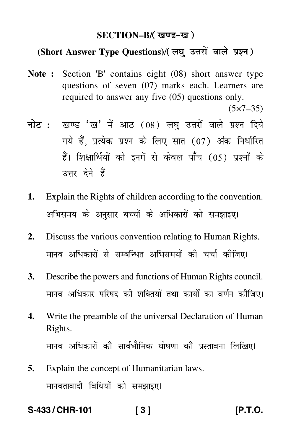#### **SECTION–B/**

## (Short Answer Type Questions)/( लघु उत्तरों वाले प्रश्न )

**Note :** Section 'B' contains eight (08) short answer type questions of seven (07) marks each. Learners are required to answer any five (05) questions only.

 $(5 \times 7 = 35)$ 

- <mark>नोट</mark> : खण्ड 'ख' में आठ (08) लघु उत्तरों वाले प्रश्न दिये गये हैं, प्रत्येक प्रश्न के लिए सात (07) अंक निर्धारित हैं। शिक्षार्थियों को इनमें से केवल पाँच (05) प्रश्नों के उत्तर देने हैं।
- **1.** Explain the Rights of children according to the convention. अभिसमय के अनुसार बच्चों के अधिकारों को समझाइए।
- **2.** Discuss the various convention relating to Human Rights. मानव अधिकारों से सम्बन्धित अभिसमयों की चर्चा कीजिए।
- **3.** Describe the powers and functions of Human Rights council. मानव अधिकार परिषद की शक्तियों तथा कार्यों का वर्णन कीजिए।
- **4.** Write the preamble of the universal Declaration of Human Rights. मानव अधिकारों की सार्वभौमिक घोषणा की प्रस्तावना लिखिए।
- **5.** Explain the concept of Humanitarian laws. मानवतावादी विधियों को समझाइए।

**S-433 / CHR-101 [ 3 ] [P.T.O.**